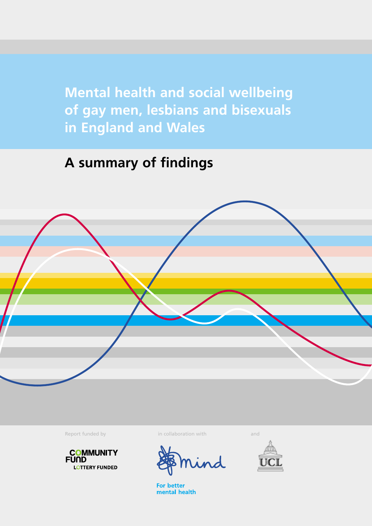**Mental health and social wellbeing of gay men, lesbians and bisexuals in England and Wales**

### **A summary of findings**





Report funded by in collaboration with and and



**For better** mental health

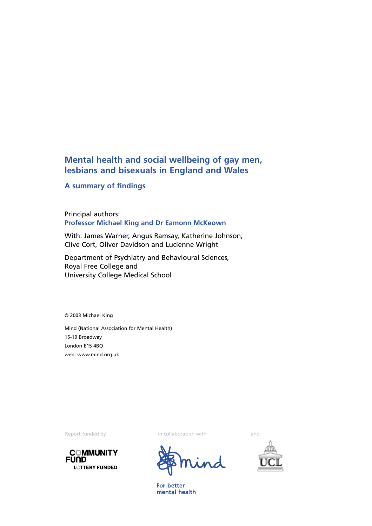### **Mental health and social wellbeing of gay men, lesbians and bisexuals in England and Wales**

#### **A summary of findings**

Principal authors: **Professor Michael King and Dr Eamonn McKeown**

With: James Warner, Angus Ramsay, Katherine Johnson, Clive Cort, Oliver Davidson and Lucienne Wright

Department of Psychiatry and Behavioural Sciences, Royal Free College and University College Medical School

© 2003 Michael King

Mind (National Association for Mental Health) 15-19 Broadway London E15 4BQ web: www.mind.org.uk



Report funded by in collaboration with and



For better mental health

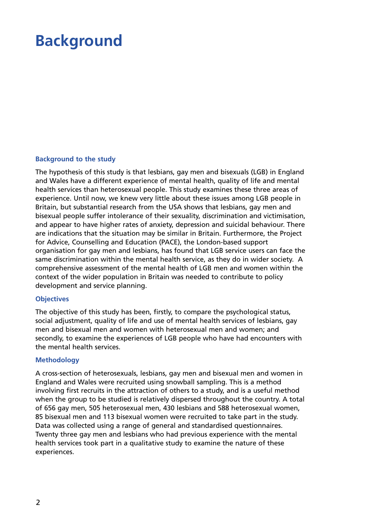## **Background**

#### **Background to the study**

The hypothesis of this study is that lesbians, gay men and bisexuals (LGB) in England and Wales have a different experience of mental health, quality of life and mental health services than heterosexual people. This study examines these three areas of experience. Until now, we knew very little about these issues among LGB people in Britain, but substantial research from the USA shows that lesbians, gay men and bisexual people suffer intolerance of their sexuality, discrimination and victimisation, and appear to have higher rates of anxiety, depression and suicidal behaviour. There are indications that the situation may be similar in Britain. Furthermore, the Project for Advice, Counselling and Education (PACE), the London-based support organisation for gay men and lesbians, has found that LGB service users can face the same discrimination within the mental health service, as they do in wider society. A comprehensive assessment of the mental health of LGB men and women within the context of the wider population in Britain was needed to contribute to policy development and service planning.

#### **Objectives**

The objective of this study has been, firstly, to compare the psychological status, social adjustment, quality of life and use of mental health services of lesbians, gay men and bisexual men and women with heterosexual men and women; and secondly, to examine the experiences of LGB people who have had encounters with the mental health services.

#### **Methodology**

A cross-section of heterosexuals, lesbians, gay men and bisexual men and women in England and Wales were recruited using snowball sampling. This is a method involving first recruits in the attraction of others to a study, and is a useful method when the group to be studied is relatively dispersed throughout the country. A total of 656 gay men, 505 heterosexual men, 430 lesbians and 588 heterosexual women, 85 bisexual men and 113 bisexual women were recruited to take part in the study. Data was collected using a range of general and standardised questionnaires. Twenty three gay men and lesbians who had previous experience with the mental health services took part in a qualitative study to examine the nature of these experiences.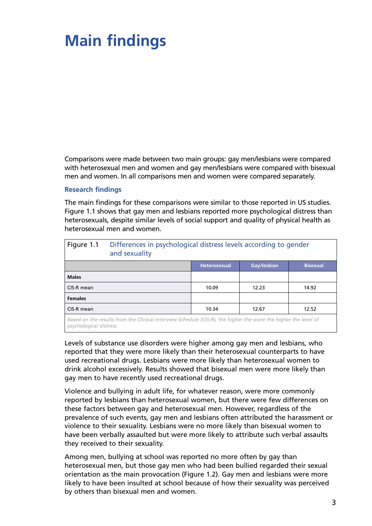## **Main findings**

Comparisons were made between two main groups: gay men/lesbians were compared with heterosexual men and women and gay men/lesbians were compared with bisexual men and women. In all comparisons men and women were compared separately.

#### **Research findings**

The main findings for these comparisons were similar to those reported in US studies. Figure 1.1 shows that gay men and lesbians reported more psychological distress than heterosexuals, despite similar levels of social support and quality of physical health as heterosexual men and women.

| Figure 1.1     | Differences in psychological distress levels according to gender<br>and sexuality |                     |             |                 |
|----------------|-----------------------------------------------------------------------------------|---------------------|-------------|-----------------|
|                |                                                                                   | <b>Heterosexual</b> | Gay/lesbian | <b>Bisexual</b> |
| <b>Males</b>   |                                                                                   |                     |             |                 |
| CIS-R mean     |                                                                                   | 10.09               | 12.23       | 14.92           |
| <b>Females</b> |                                                                                   |                     |             |                 |
| CIS-R mean     |                                                                                   | 10.34               | 12.67       | 12.52           |
|                |                                                                                   |                     |             |                 |

*Based on the results from the Clinical Interview Schedule (CIS-R), the higher the score the higher the level of psychological distress.*

Levels of substance use disorders were higher among gay men and lesbians, who reported that they were more likely than their heterosexual counterparts to have used recreational drugs. Lesbians were more likely than heterosexual women to drink alcohol excessively. Results showed that bisexual men were more likely than gay men to have recently used recreational drugs.

Violence and bullying in adult life, for whatever reason, were more commonly reported by lesbians than heterosexual women, but there were few differences on these factors between gay and heterosexual men. However, regardless of the prevalence of such events, gay men and lesbians often attributed the harassment or violence to their sexuality. Lesbians were no more likely than bisexual women to have been verbally assaulted but were more likely to attribute such verbal assaults they received to their sexuality.

Among men, bullying at school was reported no more often by gay than heterosexual men, but those gay men who had been bullied regarded their sexual orientation as the main provocation (Figure 1.2). Gay men and lesbians were more likely to have been insulted at school because of how their sexuality was perceived by others than bisexual men and women.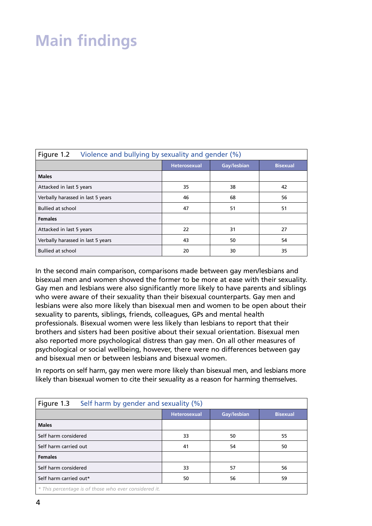# **Main findings**

| Figure 1.2<br>Violence and bullying by sexuality and gender (%) |                     |             |                 |  |
|-----------------------------------------------------------------|---------------------|-------------|-----------------|--|
|                                                                 | <b>Heterosexual</b> | Gay/lesbian | <b>Bisexual</b> |  |
| <b>Males</b>                                                    |                     |             |                 |  |
| Attacked in last 5 years                                        | 35                  | 38          | 42              |  |
| Verbally harassed in last 5 years                               | 46                  | 68          | 56              |  |
| <b>Bullied at school</b>                                        | 47                  | 51          | 51              |  |
| <b>Females</b>                                                  |                     |             |                 |  |
| Attacked in last 5 years                                        | 22                  | 31          | 27              |  |
| Verbally harassed in last 5 years                               | 43                  | 50          | 54              |  |
| <b>Bullied at school</b>                                        | 20                  | 30          | 35              |  |

In the second main comparison, comparisons made between gay men/lesbians and bisexual men and women showed the former to be more at ease with their sexuality. Gay men and lesbians were also significantly more likely to have parents and siblings who were aware of their sexuality than their bisexual counterparts. Gay men and lesbians were also more likely than bisexual men and women to be open about their sexuality to parents, siblings, friends, colleagues, GPs and mental health professionals. Bisexual women were less likely than lesbians to report that their brothers and sisters had been positive about their sexual orientation. Bisexual men also reported more psychological distress than gay men. On all other measures of psychological or social wellbeing, however, there were no differences between gay and bisexual men or between lesbians and bisexual women.

In reports on self harm, gay men were more likely than bisexual men, and lesbians more likely than bisexual women to cite their sexuality as a reason for harming themselves.

| Figure 1.3<br>Self harm by gender and sexuality (%)   |                     |             |                 |  |
|-------------------------------------------------------|---------------------|-------------|-----------------|--|
|                                                       | <b>Heterosexual</b> | Gay/lesbian | <b>Bisexual</b> |  |
| <b>Males</b>                                          |                     |             |                 |  |
| Self harm considered                                  | 33                  | 50          | 55              |  |
| Self harm carried out                                 | 41                  | 54          | 50              |  |
| <b>Females</b>                                        |                     |             |                 |  |
| Self harm considered                                  | 33                  | 57          | 56              |  |
| Self harm carried out*                                | 50                  | 56          | 59              |  |
| * This percentage is of those who ever considered it. |                     |             |                 |  |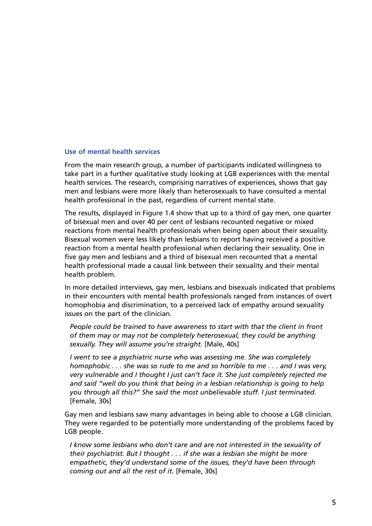#### **Use of mental health services**

From the main research group, a number of participants indicated willingness to take part in a further qualitative study looking at LGB experiences with the mental health services. The research, comprising narratives of experiences, shows that gay men and lesbians were more likely than heterosexuals to have consulted a mental health professional in the past, regardless of current mental state.

The results, displayed in Figure 1.4 show that up to a third of gay men, one quarter of bisexual men and over 40 per cent of lesbians recounted negative or mixed reactions from mental health professionals when being open about their sexuality. Bisexual women were less likely than lesbians to report having received a positive reaction from a mental health professional when declaring their sexuality. One in five gay men and lesbians and a third of bisexual men recounted that a mental health professional made a causal link between their sexuality and their mental health problem.

In more detailed interviews, gay men, lesbians and bisexuals indicated that problems in their encounters with mental health professionals ranged from instances of overt homophobia and discrimination, to a perceived lack of empathy around sexuality issues on the part of the clinician.

*People could be trained to have awareness to start with that the client in front of them may or may not be completely heterosexual, they could be anything sexually. They will assume you're straight.* [Male, 40s]

*I went to see a psychiatric nurse who was assessing me. She was completely homophobic . . . she was so rude to me and so horrible to me . . . and I was very, very vulnerable and I thought I just can't face it. She just completely rejected me and said "well do you think that being in a lesbian relationship is going to help you through all this?" She said the most unbelievable stuff. I just terminated.* [Female, 30s]

Gay men and lesbians saw many advantages in being able to choose a LGB clinician. They were regarded to be potentially more understanding of the problems faced by LGB people.

*I know some lesbians who don't care and are not interested in the sexuality of their psychiatrist. But I thought . . . if she was a lesbian she might be more empathetic, they'd understand some of the issues, they'd have been through coming out and all the rest of it.* [Female, 30s]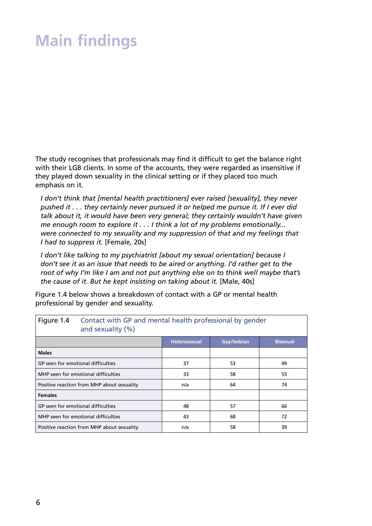## **Main findings**

The study recognises that professionals may find it difficult to get the balance right with their LGB clients. In some of the accounts, they were regarded as insensitive if they played down sexuality in the clinical setting or if they placed too much emphasis on it.

*I don't think that [mental health practitioners] ever raised [sexuality], they never pushed it . . . they certainly never pursued it or helped me pursue it. If I ever did talk about it, it would have been very general; they certainly wouldn't have given me enough room to explore it . . . I think a lot of my problems emotionally... were connected to my sexuality and my suppression of that and my feelings that I had to suppress it.* [Female, 20s]

*I don't like talking to my psychiatrist [about my sexual orientation] because I don't see it as an issue that needs to be aired or anything. I'd rather get to the root of why I'm like I am and not put anything else on to think well maybe that's the cause of it. But he kept insisting on taking about it.* [Male, 40s]

Figure 1.4 below shows a breakdown of contact with a GP or mental health professional by gender and sexuality.

| Figure 1.4                                 | Contact with GP and mental health professional by gender<br>and sexuality $(\%)$ |                     |             |                 |  |
|--------------------------------------------|----------------------------------------------------------------------------------|---------------------|-------------|-----------------|--|
|                                            |                                                                                  | <b>Heterosexual</b> | Gay/lesbian | <b>Bisexual</b> |  |
| <b>Males</b>                               |                                                                                  |                     |             |                 |  |
| GP seen for emotional difficulties         |                                                                                  | 37                  | 53          | 49              |  |
| MHP seen for emotional difficulties        |                                                                                  | 33                  | 58          | 55              |  |
| Positive reaction from MHP about sexuality |                                                                                  | n/a                 | 64          | 74              |  |
| <b>Females</b>                             |                                                                                  |                     |             |                 |  |
| GP seen for emotional difficulties         |                                                                                  | 48                  | 57          | 66              |  |
| MHP seen for emotional difficulties        |                                                                                  | 43                  | 68          | 72              |  |
| Positive reaction from MHP about sexuality |                                                                                  | n/a                 | 58          | 39              |  |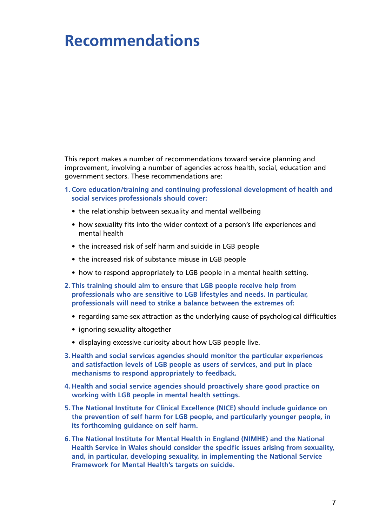### **Recommendations**

This report makes a number of recommendations toward service planning and improvement, involving a number of agencies across health, social, education and government sectors. These recommendations are:

- **1. Core education/training and continuing professional development of health and social services professionals should cover:**
	- the relationship between sexuality and mental wellbeing
	- how sexuality fits into the wider context of a person's life experiences and mental health
	- the increased risk of self harm and suicide in LGB people
	- the increased risk of substance misuse in LGB people
	- how to respond appropriately to LGB people in a mental health setting.
- **2. This training should aim to ensure that LGB people receive help from professionals who are sensitive to LGB lifestyles and needs. In particular, professionals will need to strike a balance between the extremes of:**
	- regarding same-sex attraction as the underlying cause of psychological difficulties
	- ignoring sexuality altogether
	- displaying excessive curiosity about how LGB people live.
- **3. Health and social services agencies should monitor the particular experiences and satisfaction levels of LGB people as users of services, and put in place mechanisms to respond appropriately to feedback.**
- **4. Health and social service agencies should proactively share good practice on working with LGB people in mental health settings.**
- **5. The National Institute for Clinical Excellence (NICE) should include guidance on the prevention of self harm for LGB people, and particularly younger people, in its forthcoming guidance on self harm.**
- **6. The National Institute for Mental Health in England (NIMHE) and the National Health Service in Wales should consider the specific issues arising from sexuality, and, in particular, developing sexuality, in implementing the National Service Framework for Mental Health's targets on suicide.**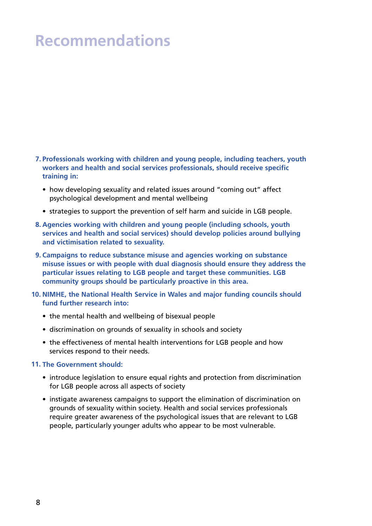### **Recommendations**

- **7. Professionals working with children and young people, including teachers, youth workers and health and social services professionals, should receive specific training in:**
	- how developing sexuality and related issues around "coming out" affect psychological development and mental wellbeing
	- strategies to support the prevention of self harm and suicide in LGB people.
- **8. Agencies working with children and young people (including schools, youth services and health and social services) should develop policies around bullying and victimisation related to sexuality.**
- **9. Campaigns to reduce substance misuse and agencies working on substance misuse issues or with people with dual diagnosis should ensure they address the particular issues relating to LGB people and target these communities. LGB community groups should be particularly proactive in this area.**
- **NIMHE, the National Health Service in Wales and major funding councils should 10. fund further research into:** 
	- the mental health and wellbeing of bisexual people
	- discrimination on grounds of sexuality in schools and society
	- the effectiveness of mental health interventions for LGB people and how services respond to their needs.

#### **The Government should: 11.**

- introduce legislation to ensure equal rights and protection from discrimination for LGB people across all aspects of society
- instigate awareness campaigns to support the elimination of discrimination on grounds of sexuality within society. Health and social services professionals require greater awareness of the psychological issues that are relevant to LGB people, particularly younger adults who appear to be most vulnerable.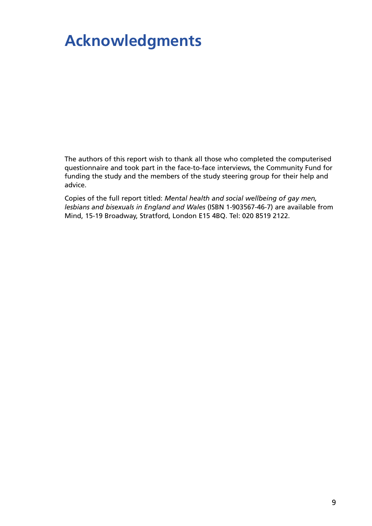### **Acknowledgments**

The authors of this report wish to thank all those who completed the computerised questionnaire and took part in the face-to-face interviews, the Community Fund for funding the study and the members of the study steering group for their help and advice.

Copies of the full report titled: *Mental health and social wellbeing of gay men, lesbians and bisexuals in England and Wales* (ISBN 1-903567-46-7) are available from Mind, 15-19 Broadway, Stratford, London E15 4BQ. Tel: 020 8519 2122.